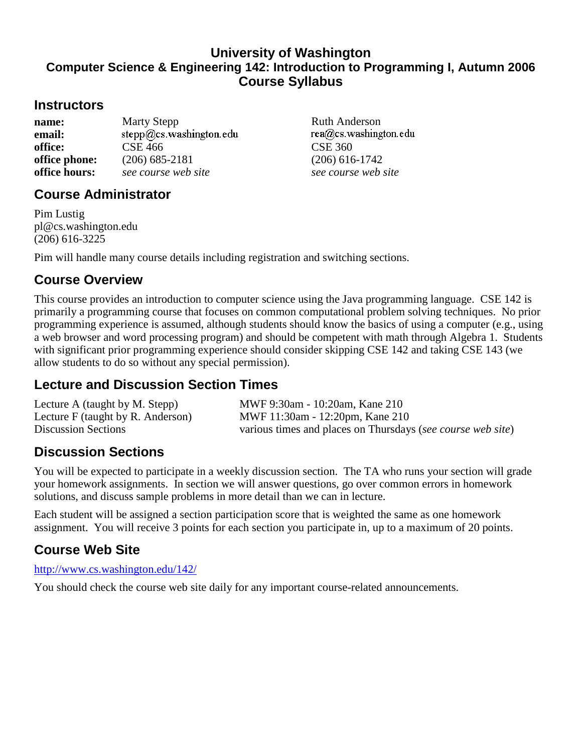### **University of Washington Computer Science & Engineering 142: Introduction to Programming I, Autumn 2006 Course Syllabus**

### **Instructors**

| name:         | <b>Marty Stepp</b>      |
|---------------|-------------------------|
| email:        | stepp@cs.washington.edu |
| office:       | <b>CSE 466</b>          |
| office phone: | $(206)$ 685-2181        |
| office hours: | see course web site     |

## **Course Administrator**

Pim Lustig pl@cs.washington.edu (206) 616-3225

Pim will handle many course details including registration and switching sections.

## **Course Overview**

This course provides an introduction to computer science using the Java programming language. CSE 142 is primarily a programming course that focuses on common computational problem solving techniques. No prior programming experience is assumed, although students should know the basics of using a computer (e.g., using a web browser and word processing program) and should be competent with math through Algebra 1. Students with significant prior programming experience should consider skipping CSE 142 and taking CSE 143 (we allow students to do so without any special permission).

# **Lecture and Discussion Section Times**

Lecture A (taught by M. Stepp) MWF 9:30am - 10:20am, Kane 210 Lecture F (taught by R. Anderson) MWF 11:30am - 12:20pm, Kane 210 Discussion Sections various times and places on Thursdays (*see course web site*)

# **Discussion Sections**

You will be expected to participate in a weekly discussion section. The TA who runs your section will grade your homework assignments. In section we will answer questions, go over common errors in homework solutions, and discuss sample problems in more detail than we can in lecture.

Each student will be assigned a section participation score that is weighted the same as one homework assignment. You will receive 3 points for each section you participate in, up to a maximum of 20 points.

## **Course Web Site**

http://www.cs.washington.edu/142/

You should check the course web site daily for any important course-related announcements.

Ruth Anderson<br>rea@cs.washington.edu **CSE 360 office phone:** (206) 685-2181 (206) 616-1742  $see course we b site$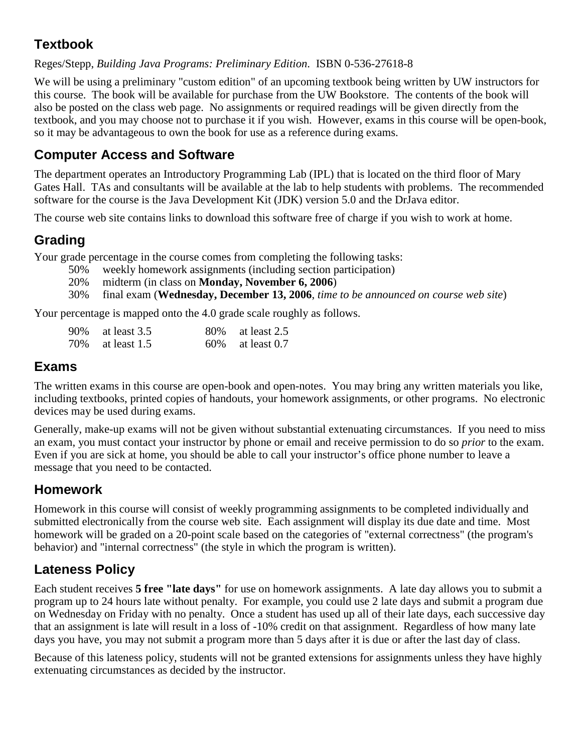# **Textbook**

#### Reges/Stepp, *Building Java Programs: Preliminary Edition*. ISBN 0-536-27618-8

We will be using a preliminary "custom edition" of an upcoming textbook being written by UW instructors for this course. The book will be available for purchase from the UW Bookstore. The contents of the book will also be posted on the class web page. No assignments or required readings will be given directly from the textbook, and you may choose not to purchase it if you wish. However, exams in this course will be open-book, so it may be advantageous to own the book for use as a reference during exams.

## **Computer Access and Software**

The department operates an Introductory Programming Lab (IPL) that is located on the third floor of Mary Gates Hall. TAs and consultants will be available at the lab to help students with problems. The recommended software for the course is the Java Development Kit (JDK) version 5.0 and the DrJava editor.

The course web site contains links to download this software free of charge if you wish to work at home.

# **Grading**

Your grade percentage in the course comes from completing the following tasks:

- 50% weekly homework assignments (including section participation)
	- 20% midterm (in class on **Monday, November 6, 2006**)
- 30% final exam (**Wednesday, December 13, 2006**, *time to be announced on course web site*)

Your percentage is mapped onto the 4.0 grade scale roughly as follows.

| 90% at least 3.5 | 80\% at least 2.5   |
|------------------|---------------------|
| 70% at least 1.5 | $60\%$ at least 0.7 |

### **Exams**

The written exams in this course are open-book and open-notes. You may bring any written materials you like, including textbooks, printed copies of handouts, your homework assignments, or other programs. No electronic devices may be used during exams.

Generally, make-up exams will not be given without substantial extenuating circumstances. If you need to miss an exam, you must contact your instructor by phone or email and receive permission to do so *prior* to the exam. Even if you are sick at home, you should be able to call your instructor's office phone number to leave a message that you need to be contacted.

### **Homework**

Homework in this course will consist of weekly programming assignments to be completed individually and submitted electronically from the course web site. Each assignment will display its due date and time. Most homework will be graded on a 20-point scale based on the categories of "external correctness" (the program's behavior) and "internal correctness" (the style in which the program is written).

## **Lateness Policy**

Each student receives **5 free "late days"** for use on homework assignments. A late day allows you to submit a program up to 24 hours late without penalty. For example, you could use 2 late days and submit a program due on Wednesday on Friday with no penalty. Once a student has used up all of their late days, each successive day that an assignment is late will result in a loss of -10% credit on that assignment. Regardless of how many late days you have, you may not submit a program more than 5 days after it is due or after the last day of class.

Because of this lateness policy, students will not be granted extensions for assignments unless they have highly extenuating circumstances as decided by the instructor.